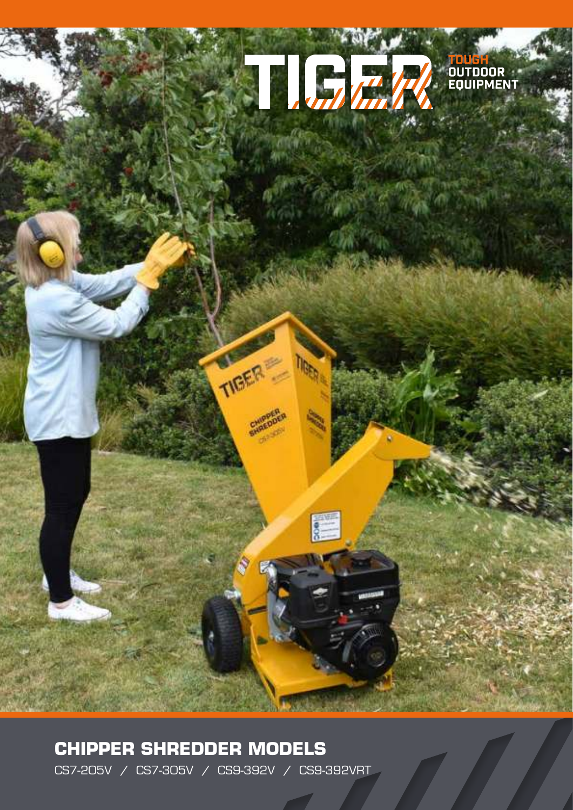

**CHIPPER SHREDDER MODELS** CS7-205V / CS7-305V / CS9-392V / CS9-392VRT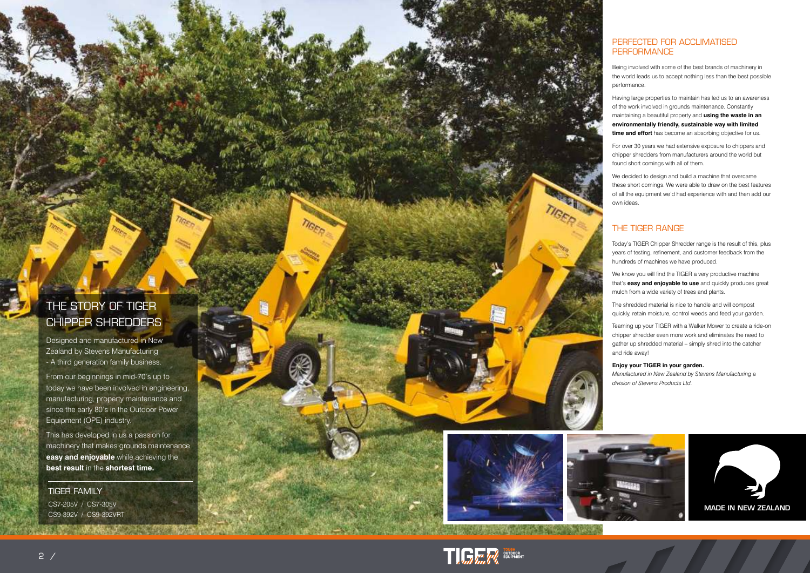#### PERFECTED FOR ACCLIMATISED **PERFORMANCE**

Being involved with some of the best brands of machinery in the world leads us to accept nothing less than the best possible performance.

Having large properties to maintain has led us to an awareness of the work involved in grounds maintenance. Constantly maintaining a beautiful property and **using the waste in an environmentally friendly, sustainable way with limited time and effort** has become an absorbing objective for us.

For over 30 years we had extensive exposure to chippers and chipper shredders from manufacturers around the world but found short comings with all of them.

We decided to design and build a machine that overcame these short comings. We were able to draw on the best features of all the equipment we'd had experience with and then add our own ideas.

### THE TIGER RANGE

Today's TIGER Chipper Shredder range is the result of this, plus years of testing, refinement, and customer feedback from the hundreds of machines we have produced.

We know you will find the TIGER a very productive machine that's **easy and enjoyable to use** and quickly produces great mulch from a wide variety of trees and plants.

The shredded material is nice to handle and will compost quickly, retain moisture, control weeds and feed your garden.

Teaming up your TIGER with a Walker Mower to create a ride-on chipper shredder even more work and eliminates the need to gather up shredded material – simply shred into the catcher and ride away!

#### **Enjoy your TIGER in your garden.**

*Manufactured in New Zealand by Stevens Manufacturing a division of Stevens Products Ltd.*

## THE STORY OF TIGER CHIPPER SHREDDERS

Designed and manufactured in New Zealand by Stevens Manufacturing - A third generation family business.

From our beginnings in mid-70's up to today we have been involved in engineering, manufacturing, property maintenance and since the early 80's in the Outdoor Power Equipment (OPE) industry.

This has developed in us a passion for machinery that makes grounds maintenance **easy and enjoyable** while achieving the **best result** in the **shortest time.**

TIGER FAMILY CS7-205V / CS7-305V CS9-392V / CS9-392VRT





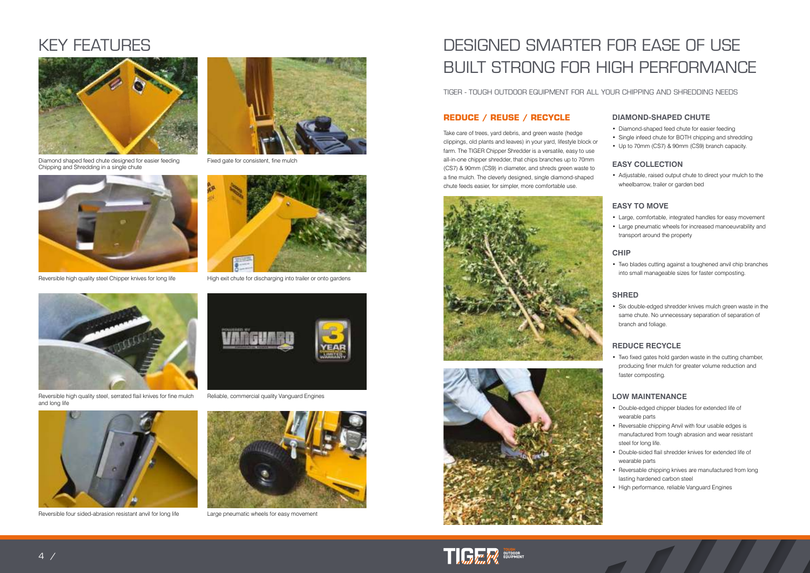# DESIGNED SMARTER FOR EASE OF USE BUILT STRONG FOR HIGH PERFORMANCE

TIGER - TOUGH OUTDOOR EQUIPMENT FOR ALL YOUR CHIPPING AND SHREDDING NEEDS

#### **DIAMOND-SHAPED CHUTE**

- Diamond-shaped feed chute for easier feeding
- Single infeed chute for BOTH chipping and shredding
- Up to 70mm (CS7) & 90mm (CS9) branch capacity.

#### **EASY COLLECTION**

• Adjustable, raised output chute to direct your mulch to the wheelbarrow, trailer or garden bed

#### **EASY TO MOVE**

- Large, comfortable, integrated handles for easy movement
- Large pneumatic wheels for increased manoeuvrability and transport around the property

#### **CHIP**

• Two blades cutting against a toughened anvil chip branches into small manageable sizes for faster composting.

#### **SHRED**

• Six double-edged shredder knives mulch green waste in the same chute. No unnecessary separation of separation of branch and foliage.

#### **REDUCE RECYCLE**

• Two fixed gates hold garden waste in the cutting chamber, producing finer mulch for greater volume reduction and faster composting.

#### **LOW MAINTENANCE**

- Double-edged chipper blades for extended life of wearable parts
- Reversable chipping Anvil with four usable edges is manufactured from tough abrasion and wear resistant steel for long life.
- Double-sided flail shredder knives for extended life of wearable parts
- Reversable chipping knives are manufactured from long lasting hardened carbon steel
- High performance, reliable Vanguard Engines

### **REDUCE / REUSE / RECYCLE**

Take care of trees, yard debris, and green waste (hedge clippings, old plants and leaves) in your yard, lifestyle block or farm. The TIGER Chipper Shredder is a versatile, easy to use all-in-one chipper shredder, that chips branches up to 70mm (CS7) & 90mm (CS9) in diameter, and shreds green waste to a fine mulch. The cleverly designed, single diamond-shaped chute feeds easier, for simpler, more comfortable use.







# KEY FEATURES



Diamond shaped feed chute designed for easier feeding Chipping and Shredding in a single chute



Reversible high quality steel Chipper knives for long life High exit chute for discharging into trailer or onto gardens



Fixed gate for consistent, fine mulch





Reversible high quality steel, serrated flail knives for fine mulch and long life



Reversible four sided-abrasion resistant anvil for long life Large pneumatic wheels for easy movement



Reliable, commercial quality Vanguard Engines

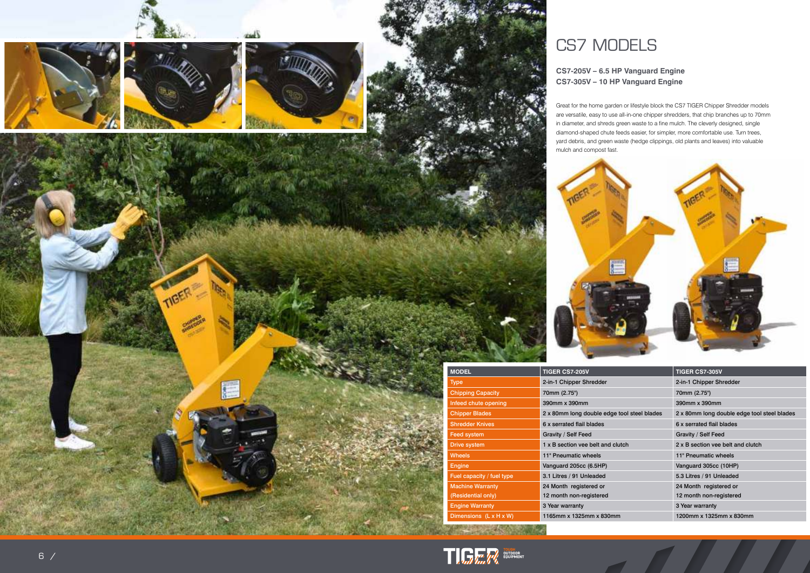#### **CS7-205V – 6.5 HP Vanguard Engine CS7-305V – 10 HP Vanguard Engine**





|                      | <b>TIGER CS7-305V</b>                       |
|----------------------|---------------------------------------------|
|                      | 2-in-1 Chipper Shredder                     |
|                      | 70mm (2.75")                                |
|                      | 390mm x 390mm                               |
| ge tool steel blades | 2 x 80mm long double edge tool steel blades |
|                      | 6 x serrated flail blades                   |
|                      | Gravity / Self Feed                         |
| clutch               | 2 x B section yee belt and clutch           |
|                      | 11" Pneumatic wheels                        |
|                      | Vanguard 305cc (10HP)                       |
|                      | 5.3 Litres / 91 Unleaded                    |
|                      | 24 Month registered or                      |
|                      | 12 month non-registered                     |
|                      | 3 Year warranty                             |
| mm                   | 1200mm x 1325mm x 830mm                     |

Great for the home garden or lifestyle block the CS7 TIGER Chipper Shredder models are versatile, easy to use all-in-one chipper shredders, that chip branches up to 70mm in diameter, and shreds green waste to a fine mulch. The cleverly designed, single diamond-shaped chute feeds easier, for simpler, more comfortable use. Turn trees, yard debris, and green waste (hedge clippings, old plants and leaves) into valuable

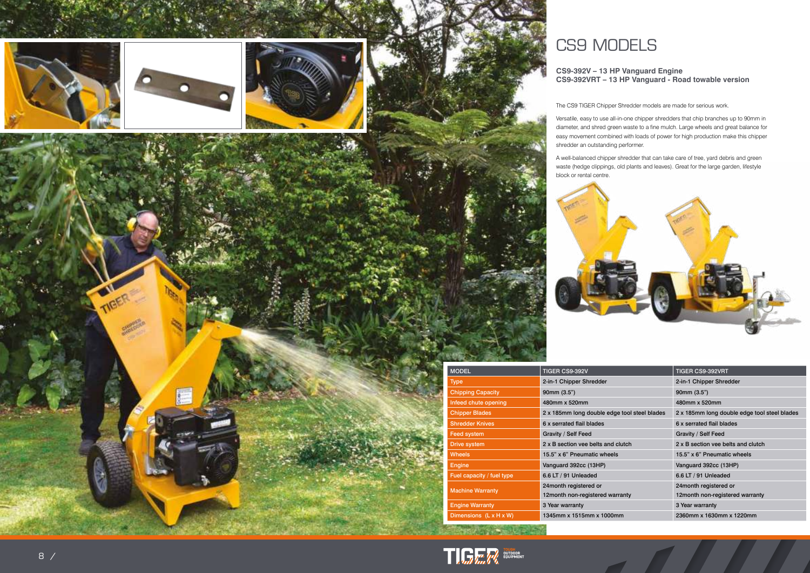







# CS9 MODELS

#### **CS9-392V – 13 HP Vanguard Engine CS9-392VRT – 13 HP Vanguard - Road towable version**

| <b>MODEL</b>              | TIGER CS9-392V                               | <b>TIGER CS9-392VRT</b>                      |
|---------------------------|----------------------------------------------|----------------------------------------------|
| <b>Type</b>               | 2-in-1 Chipper Shredder                      | 2-in-1 Chipper Shredder                      |
| <b>Chipping Capacity</b>  | 90mm (3.5")                                  | 90mm (3.5")                                  |
| Infeed chute opening      | 480mm x 520mm                                | 480mm x 520mm                                |
| <b>Chipper Blades</b>     | 2 x 185mm long double edge tool steel blades | 2 x 185mm long double edge tool steel blades |
| <b>Shredder Knives</b>    | 6 x serrated flail blades                    | 6 x serrated flail blades                    |
| <b>Feed system</b>        | Gravity / Self Feed                          | Gravity / Self Feed                          |
| Drive system              | 2 x B section yee belts and clutch           | 2 x B section yee belts and clutch           |
| <b>Wheels</b>             | 15.5" x 6" Pneumatic wheels                  | 15.5" x 6" Pneumatic wheels                  |
| <b>Engine</b>             | Vanguard 392cc (13HP)                        | Vanguard 392cc (13HP)                        |
| Fuel capacity / fuel type | 6.6 LT / 91 Unleaded                         | 6.6 LT / 91 Unleaded                         |
| <b>Machine Warranty</b>   | 24month registered or                        | 24month registered or                        |
|                           | 12 month non-registered warranty             | 12 month non-registered warranty             |
| <b>Engine Warranty</b>    | 3 Year warranty                              | 3 Year warranty                              |
| Dimensions (L x H x W)    | 1345mm x 1515mm x 1000mm                     | 2360mm x 1630mm x 1220mm                     |

**TIP THE WAY AND SUPPRENT** 

Art a Britain

The CS9 TIGER Chipper Shredder models are made for serious work.

Versatile, easy to use all-in-one chipper shredders that chip branches up to 90mm in diameter, and shred green waste to a fine mulch. Large wheels and great balance for easy movement combined with loads of power for high production make this chipper shredder an outstanding performer.

A well-balanced chipper shredder that can take care of tree, yard debris and green waste (hedge clippings, old plants and leaves). Great for the large garden, lifestyle

block or rental centre.

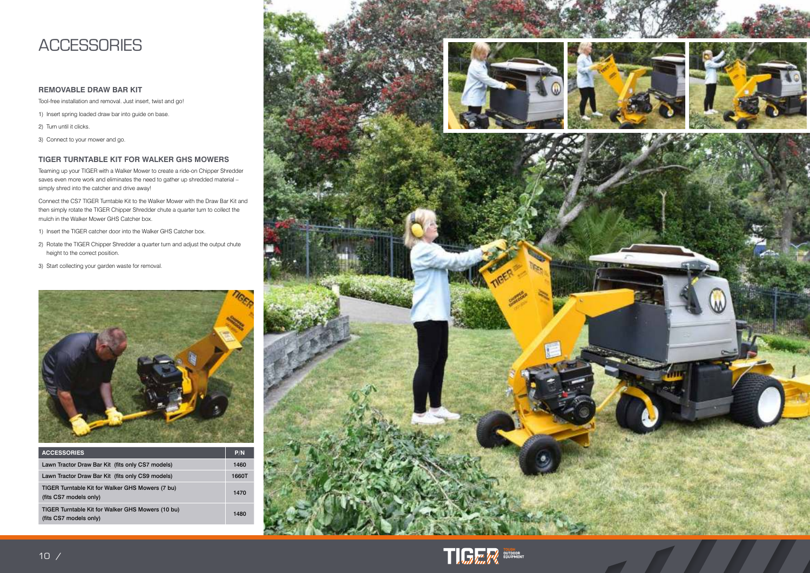## **ACCESSORIES**

#### **REMOVABLE DRAW BAR KIT**

Tool-free installation and removal. Just insert, twist and go!

- 1) Insert spring loaded draw bar into guide on base.
- 2) Turn until it clicks.
- 3) Connect to your mower and go.

#### **TIGER TURNTABLE KIT FOR WALKER GHS MOWERS**

Teaming up your TIGER with a Walker Mower to create a ride-on Chipper Shredder saves even more work and eliminates the need to gather up shredded material simply shred into the catcher and drive away!

Connect the CS7 TIGER Turntable Kit to the Walker Mower with the Draw Bar Kit and then simply rotate the TIGER Chipper Shredder chute a quarter turn to collect the mulch in the Walker Mower GHS Catcher box.

- 1) Insert the TIGER catcher door into the Walker GHS Catcher box.
- 2) Rotate the TIGER Chipper Shredder a quarter turn and adjust the output chute height to the correct position.
- 3) Start collecting your garden waste for removal.



| <b>ACCESSORIES</b>                                                          | P/N   |
|-----------------------------------------------------------------------------|-------|
| Lawn Tractor Draw Bar Kit (fits only CS7 models)                            | 1460  |
| Lawn Tractor Draw Bar Kit (fits only CS9 models)                            | 1660T |
| TIGER Turntable Kit for Walker GHS Mowers (7 bu)<br>(fits CS7 models only)  |       |
| TIGER Turntable Kit for Walker GHS Mowers (10 bu)<br>(fits CS7 models only) |       |